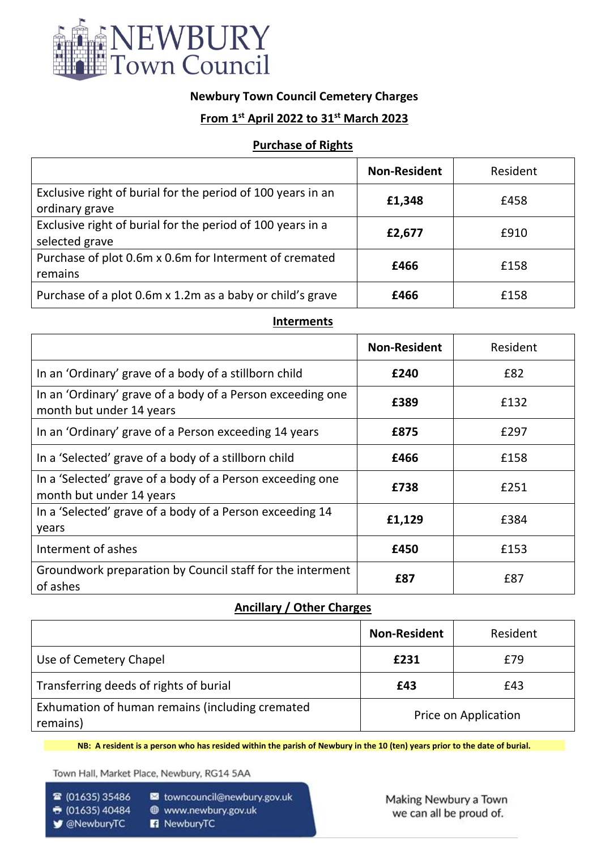

## **Newbury Town Council Cemetery Charges**

# **From 1st April 2022 to 31st March 2023**

### **Purchase of Rights**

|                                                                               | <b>Non-Resident</b> | Resident |
|-------------------------------------------------------------------------------|---------------------|----------|
| Exclusive right of burial for the period of 100 years in an<br>ordinary grave | £1,348              | £458     |
| Exclusive right of burial for the period of 100 years in a<br>selected grave  | £2,677              | £910     |
| Purchase of plot 0.6m x 0.6m for Interment of cremated<br>remains             | £466                | £158     |
| Purchase of a plot 0.6m x 1.2m as a baby or child's grave                     | £466                | £158     |

#### **Interments**

|                                                                                        | <b>Non-Resident</b> | Resident |
|----------------------------------------------------------------------------------------|---------------------|----------|
| In an 'Ordinary' grave of a body of a stillborn child                                  | £240                | £82      |
| In an 'Ordinary' grave of a body of a Person exceeding one<br>month but under 14 years | £389                | £132     |
| In an 'Ordinary' grave of a Person exceeding 14 years                                  | £875                | £297     |
| In a 'Selected' grave of a body of a stillborn child                                   | £466                | £158     |
| In a 'Selected' grave of a body of a Person exceeding one<br>month but under 14 years  | £738                | £251     |
| In a 'Selected' grave of a body of a Person exceeding 14<br>years                      | £1,129              | £384     |
| Interment of ashes                                                                     | £450                | £153     |
| Groundwork preparation by Council staff for the interment<br>of ashes                  | £87                 | £87      |

### **Ancillary / Other Charges**

|                                                             | <b>Non-Resident</b>  | Resident |
|-------------------------------------------------------------|----------------------|----------|
| Use of Cemetery Chapel                                      | £231                 | £79      |
| Transferring deeds of rights of burial                      | £43                  | £43      |
| Exhumation of human remains (including cremated<br>remains) | Price on Application |          |

**NB: A resident is a person who has resided within the parish of Newbury in the 10 (ten) years prior to the date of burial.**

Town Hall, Market Place, Newbury, RG14 5AA

☎ (01635) 35486

s towncouncil@newbury.gov.uk @ www.newbury.gov.uk

- ↑ (01635) 40484 ■ @NewburyTC
- R NewburyTC

Making Newbury a Town we can all be proud of.